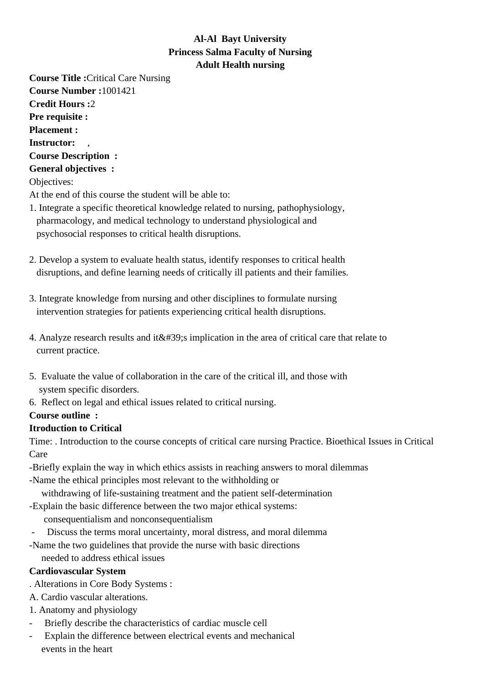# **Al-Al Bayt University Princess Salma Faculty of Nursing Adult Health nursing**

**Course Title :**Critical Care Nursing **Course Number :**1001421 **Credit Hours :**2 **Pre requisite : Placement : Instructor:** , **Course Description : General objectives :** Objectives: At the end of this course the student will be able to: 1. Integrate a specific theoretical knowledge related to nursing, pathophysiology,

- pharmacology, and medical technology to understand physiological and psychosocial responses to critical health disruptions.
- 2. Develop a system to evaluate health status, identify responses to critical health disruptions, and define learning needs of critically ill patients and their families.
- 3. Integrate knowledge from nursing and other disciplines to formulate nursing intervention strategies for patients experiencing critical health disruptions.
- 4. Analyze research results and it  $&\#39$ ; implication in the area of critical care that relate to current practice.
- 5. Evaluate the value of collaboration in the care of the critical ill, and those with system specific disorders.
- 6. Reflect on legal and ethical issues related to critical nursing.

# **Course outline :**

# **Itroduction to Critical**

Time: . Introduction to the course concepts of critical care nursing Practice. Bioethical Issues in Critical Care

- Briefly explain the way in which ethics assists in reaching answers to moral dilemmas
- Name the ethical principles most relevant to the withholding or withdrawing of life-sustaining treatment and the patient self-determination
- Explain the basic difference between the two major ethical systems: consequentialism and nonconsequentialism
- Discuss the terms moral uncertainty, moral distress, and moral dilemma
- Name the two guidelines that provide the nurse with basic directions needed to address ethical issues

# **Cardiovascular System**

- . Alterations in Core Body Systems :
- A. Cardio vascular alterations.
- 1. Anatomy and physiology
- Briefly describe the characteristics of cardiac muscle cell
- Explain the difference between electrical events and mechanical events in the heart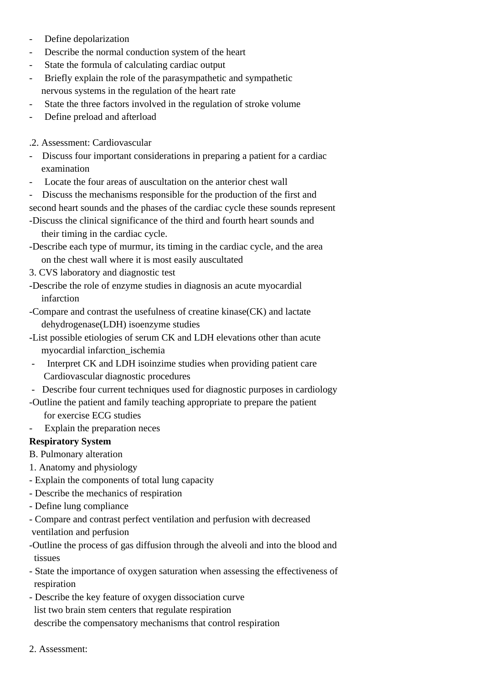- Define depolarization
- Describe the normal conduction system of the heart
- State the formula of calculating cardiac output
- Briefly explain the role of the parasympathetic and sympathetic nervous systems in the regulation of the heart rate
- State the three factors involved in the regulation of stroke volume
- Define preload and afterload
- . 2. Assessment: Cardiovascular
- Discuss four important considerations in preparing a patient for a cardiac examination
- Locate the four areas of auscultation on the anterior chest wall
- Discuss the mechanisms responsible for the production of the first and
- second heart sounds and the phases of the cardiac cycle these sounds represent
- Discuss the clinical significance of the third and fourth heart sounds and their timing in the cardiac cycle.
- Describe each type of murmur, its timing in the cardiac cycle, and the area on the chest wall where it is most easily auscultated
- 3. CVS laboratory and diagnostic test
- Describe the role of enzyme studies in diagnosis an acute myocardial infarction
- Compare and contrast the usefulness of creatine kinase(CK) and lactate dehydrogenase(LDH) isoenzyme studies
- List possible etiologies of serum CK and LDH elevations other than acute myocardial infarction\_ischemia
	- Interpret CK and LDH isoinzime studies when providing patient care Cardiovascular diagnostic procedures
- Describe four current techniques used for diagnostic purposes in cardiology
- Outline the patient and family teaching appropriate to prepare the patient for exercise ECG studies
- Explain the preparation neces

## **Respiratory System**

B. Pulmonary alteration

- 1. Anatomy and physiology
- - Explain the components of total lung capacity
- - Describe the mechanics of respiration
- - Define lung compliance
- Compare and contrast perfect ventilation and perfusion with decreased ventilation and perfusion
- -Outline the process of gas diffusion through the alveoli and into the blood and tissues
- State the importance of oxygen saturation when assessing the effectiveness of respiration
- Describe the key feature of oxygen dissociation curve list two brain stem centers that regulate respiration describe the compensatory mechanisms that control respiration
	- 2. Assessment: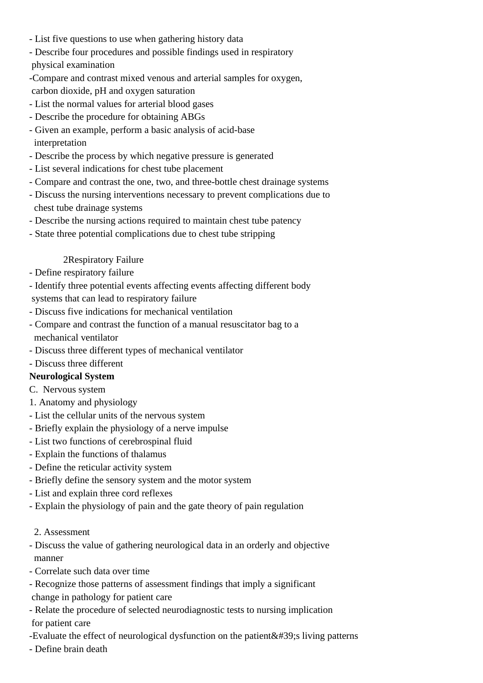- - List five questions to use when gathering history data
- Describe four procedures and possible findings used in respiratory physical examination
- -Compare and contrast mixed venous and arterial samples for oxygen, carbon dioxide, pH and oxygen saturation
- List the normal values for arterial blood gases
- Describe the procedure for obtaining ABGs
- Given an example, perform a basic analysis of acid-base interpretation
- - Describe the process by which negative pressure is generated
- - List several indications for chest tube placement
- - Compare and contrast the one, two, and three-bottle chest drainage systems
- Discuss the nursing interventions necessary to prevent complications due to chest tube drainage systems
- Describe the nursing actions required to maintain chest tube patency
- State three potential complications due to chest tube stripping

### 2Respiratory Failure

- - Define respiratory failure
- Identify three potential events affecting events affecting different body
- systems that can lead to respiratory failure
- Discuss five indications for mechanical ventilation
- Compare and contrast the function of a manual resuscitator bag to a mechanical ventilator
- Discuss three different types of mechanical ventilator
- Discuss three different

## **Neurological System**

- C. Nervous system
	- 1. Anatomy and physiology
- - List the cellular units of the nervous system
- - Briefly explain the physiology of a nerve impulse
- - List two functions of cerebrospinal fluid
- - Explain the functions of thalamus
- - Define the reticular activity system
- Briefly define the sensory system and the motor system
- List and explain three cord reflexes
- Explain the physiology of pain and the gate theory of pain regulation

### 2. Assessment

- Discuss the value of gathering neurological data in an orderly and objective manner
- Correlate such data over time
- Recognize those patterns of assessment findings that imply a significant
- change in pathology for patient care
- Relate the procedure of selected neurodiagnostic tests to nursing implication for patient care
- -Evaluate the effect of neurological dysfunction on the patient  $&\#39$ ; living patterns
- Define brain death